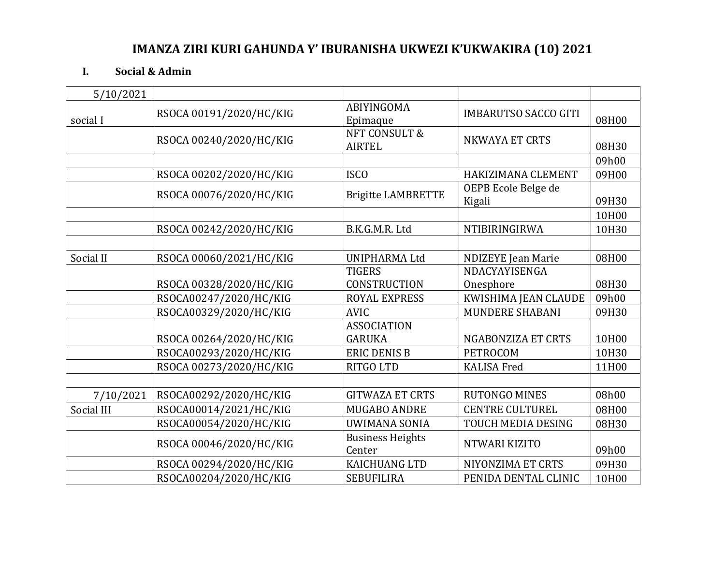## **IMANZA ZIRI KURI GAHUNDA Y' IBURANISHA UKWEZI K'UKWAKIRA (10) 2021**

## **I. Social & Admin**

| 5/10/2021  |                         |                                     |                               |       |
|------------|-------------------------|-------------------------------------|-------------------------------|-------|
| social I   | RSOCA 00191/2020/HC/KIG | <b>ABIYINGOMA</b><br>Epimaque       | <b>IMBARUTSO SACCO GITI</b>   | 08H00 |
|            | RSOCA 00240/2020/HC/KIG | NFT CONSULT &<br><b>AIRTEL</b>      | <b>NKWAYA ET CRTS</b>         | 08H30 |
|            |                         |                                     |                               | 09h00 |
|            | RSOCA 00202/2020/HC/KIG | <b>ISCO</b>                         | HAKIZIMANA CLEMENT            | 09H00 |
|            | RSOCA 00076/2020/HC/KIG | <b>Brigitte LAMBRETTE</b>           | OEPB Ecole Belge de<br>Kigali | 09H30 |
|            |                         |                                     |                               | 10H00 |
|            | RSOCA 00242/2020/HC/KIG | B.K.G.M.R. Ltd                      | NTIBIRINGIRWA                 | 10H30 |
|            |                         |                                     |                               |       |
| Social II  | RSOCA 00060/2021/HC/KIG | <b>UNIPHARMA Ltd</b>                | <b>NDIZEYE</b> Jean Marie     | 08H00 |
|            |                         | <b>TIGERS</b>                       | NDACYAYISENGA                 |       |
|            | RSOCA 00328/2020/HC/KIG | <b>CONSTRUCTION</b>                 | Onesphore                     | 08H30 |
|            | RSOCA00247/2020/HC/KIG  | <b>ROYAL EXPRESS</b>                | KWISHIMA JEAN CLAUDE          | 09h00 |
|            | RSOCA00329/2020/HC/KIG  | <b>AVIC</b>                         | MUNDERE SHABANI               | 09H30 |
|            | RSOCA 00264/2020/HC/KIG | <b>ASSOCIATION</b><br><b>GARUKA</b> | NGABONZIZA ET CRTS            | 10H00 |
|            | RSOCA00293/2020/HC/KIG  | <b>ERIC DENIS B</b>                 | <b>PETROCOM</b>               | 10H30 |
|            | RSOCA 00273/2020/HC/KIG | RITGO LTD                           | <b>KALISA Fred</b>            | 11H00 |
|            |                         |                                     |                               |       |
| 7/10/2021  | RSOCA00292/2020/HC/KIG  | <b>GITWAZA ET CRTS</b>              | <b>RUTONGO MINES</b>          | 08h00 |
| Social III | RSOCA00014/2021/HC/KIG  | <b>MUGABO ANDRE</b>                 | <b>CENTRE CULTUREL</b>        | 08H00 |
|            | RSOCA00054/2020/HC/KIG  | <b>UWIMANA SONIA</b>                | TOUCH MEDIA DESING            | 08H30 |
|            | RSOCA 00046/2020/HC/KIG | <b>Business Heights</b><br>Center   | NTWARI KIZITO                 | 09h00 |
|            | RSOCA 00294/2020/HC/KIG | <b>KAICHUANG LTD</b>                | NIYONZIMA ET CRTS             | 09H30 |
|            | RSOCA00204/2020/HC/KIG  | <b>SEBUFILIRA</b>                   | PENIDA DENTAL CLINIC          | 10H00 |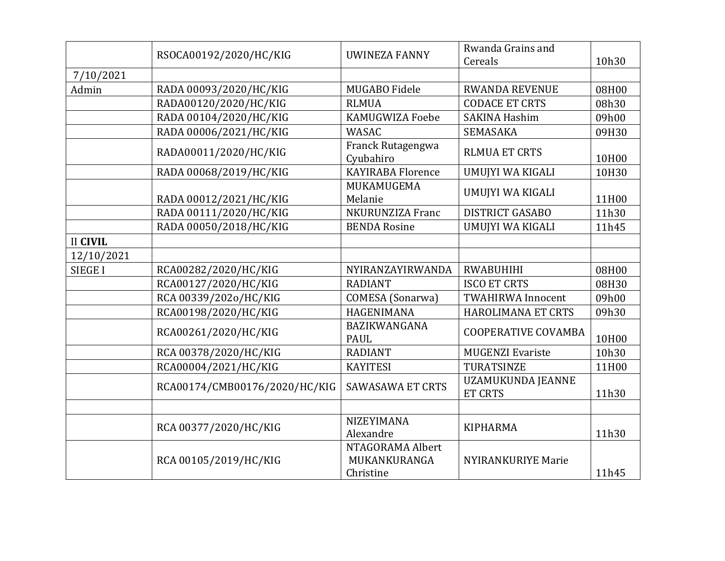|                 | RSOCA00192/2020/HC/KIG        | UWINEZA FANNY                                 | Rwanda Grains and<br>Cereals               | 10h30 |
|-----------------|-------------------------------|-----------------------------------------------|--------------------------------------------|-------|
| 7/10/2021       |                               |                                               |                                            |       |
| Admin           | RADA 00093/2020/HC/KIG        | MUGABO Fidele                                 | <b>RWANDA REVENUE</b>                      | 08H00 |
|                 | RADA00120/2020/HC/KIG         | <b>RLMUA</b>                                  | <b>CODACE ET CRTS</b>                      | 08h30 |
|                 | RADA 00104/2020/HC/KIG        | <b>KAMUGWIZA Foebe</b>                        | <b>SAKINA Hashim</b>                       | 09h00 |
|                 | RADA 00006/2021/HC/KIG        | <b>WASAC</b>                                  | SEMASAKA                                   | 09H30 |
|                 | RADA00011/2020/HC/KIG         | Franck Rutagengwa<br>Cyubahiro                | <b>RLMUA ET CRTS</b>                       | 10H00 |
|                 | RADA 00068/2019/HC/KIG        | <b>KAYIRABA Florence</b>                      | UMUJYI WA KIGALI                           | 10H30 |
|                 | RADA 00012/2021/HC/KIG        | MUKAMUGEMA<br>Melanie                         | UMUJYI WA KIGALI                           | 11H00 |
|                 | RADA 00111/2020/HC/KIG        | NKURUNZIZA Franc                              | <b>DISTRICT GASABO</b>                     | 11h30 |
|                 | RADA 00050/2018/HC/KIG        | <b>BENDA Rosine</b>                           | UMUJYI WA KIGALI                           | 11h45 |
| <b>II CIVIL</b> |                               |                                               |                                            |       |
| 12/10/2021      |                               |                                               |                                            |       |
| <b>SIEGE I</b>  | RCA00282/2020/HC/KIG          | NYIRANZAYIRWANDA                              | <b>RWABUHIHI</b>                           | 08H00 |
|                 | RCA00127/2020/HC/KIG          | <b>RADIANT</b>                                | <b>ISCO ET CRTS</b>                        | 08H30 |
|                 | RCA 00339/202o/HC/KIG         | <b>COMESA</b> (Sonarwa)                       | <b>TWAHIRWA Innocent</b>                   | 09h00 |
|                 | RCA00198/2020/HC/KIG          | HAGENIMANA                                    | HAROLIMANA ET CRTS                         | 09h30 |
|                 | RCA00261/2020/HC/KIG          | BAZIKWANGANA<br><b>PAUL</b>                   | <b>COOPERATIVE COVAMBA</b>                 | 10H00 |
|                 | RCA 00378/2020/HC/KIG         | <b>RADIANT</b>                                | <b>MUGENZI Evariste</b>                    | 10h30 |
|                 | RCA00004/2021/HC/KIG          | <b>KAYITESI</b>                               | TURATSINZE                                 | 11H00 |
|                 | RCA00174/CMB00176/2020/HC/KIG | <b>SAWASAWA ET CRTS</b>                       | <b>UZAMUKUNDA JEANNE</b><br><b>ET CRTS</b> | 11h30 |
|                 |                               |                                               |                                            |       |
|                 | RCA 00377/2020/HC/KIG         | <b>NIZEYIMANA</b><br>Alexandre                | <b>KIPHARMA</b>                            | 11h30 |
|                 | RCA 00105/2019/HC/KIG         | NTAGORAMA Albert<br>MUKANKURANGA<br>Christine | <b>NYIRANKURIYE Marie</b>                  | 11h45 |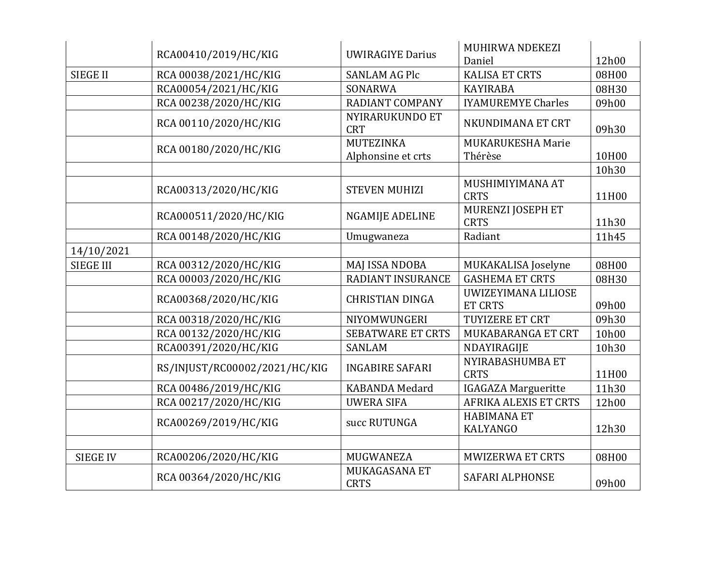|                  |                               |                                        | MUHIRWA NDEKEZI                       |       |
|------------------|-------------------------------|----------------------------------------|---------------------------------------|-------|
|                  | RCA00410/2019/HC/KIG          | <b>UWIRAGIYE Darius</b>                | Daniel                                | 12h00 |
| <b>SIEGE II</b>  | RCA 00038/2021/HC/KIG         | <b>SANLAM AG Plc</b>                   | <b>KALISA ET CRTS</b>                 | 08H00 |
|                  | RCA00054/2021/HC/KIG          | SONARWA                                | <b>KAYIRABA</b>                       | 08H30 |
|                  | RCA 00238/2020/HC/KIG         | <b>RADIANT COMPANY</b>                 | <b>IYAMUREMYE Charles</b>             | 09h00 |
|                  | RCA 00110/2020/HC/KIG         | NYIRARUKUNDO ET<br><b>CRT</b>          | NKUNDIMANA ET CRT                     | 09h30 |
|                  | RCA 00180/2020/HC/KIG         | <b>MUTEZINKA</b><br>Alphonsine et crts | MUKARUKESHA Marie<br>Thérèse          | 10H00 |
|                  |                               |                                        |                                       | 10h30 |
|                  | RCA00313/2020/HC/KIG          | <b>STEVEN MUHIZI</b>                   | MUSHIMIYIMANA AT<br><b>CRTS</b>       | 11H00 |
|                  | RCA000511/2020/HC/KIG         | <b>NGAMIJE ADELINE</b>                 | MURENZI JOSEPH ET<br><b>CRTS</b>      | 11h30 |
|                  | RCA 00148/2020/HC/KIG         | Umugwaneza                             | Radiant                               | 11h45 |
| 14/10/2021       |                               |                                        |                                       |       |
| <b>SIEGE III</b> | RCA 00312/2020/HC/KIG         | MAJ ISSA NDOBA                         | MUKAKALISA Joselyne                   | 08H00 |
|                  | RCA 00003/2020/HC/KIG         | RADIANT INSURANCE                      | <b>GASHEMA ET CRTS</b>                | 08H30 |
|                  | RCA00368/2020/HC/KIG          | <b>CHRISTIAN DINGA</b>                 | UWIZEYIMANA LILIOSE<br><b>ET CRTS</b> | 09h00 |
|                  | RCA 00318/2020/HC/KIG         | NIYOMWUNGERI                           | TUYIZERE ET CRT                       | 09h30 |
|                  | RCA 00132/2020/HC/KIG         | <b>SEBATWARE ET CRTS</b>               | MUKABARANGA ET CRT                    | 10h00 |
|                  | RCA00391/2020/HC/KIG          | <b>SANLAM</b>                          | NDAYIRAGIJE                           | 10h30 |
|                  | RS/INJUST/RC00002/2021/HC/KIG | <b>INGABIRE SAFARI</b>                 | NYIRABASHUMBA ET<br><b>CRTS</b>       | 11H00 |
|                  | RCA 00486/2019/HC/KIG         | <b>KABANDA Medard</b>                  | <b>IGAGAZA Margueritte</b>            | 11h30 |
|                  | RCA 00217/2020/HC/KIG         | <b>UWERA SIFA</b>                      | <b>AFRIKA ALEXIS ET CRTS</b>          | 12h00 |
|                  | RCA00269/2019/HC/KIG          | succ RUTUNGA                           | <b>HABIMANA ET</b><br><b>KALYANGO</b> | 12h30 |
|                  |                               |                                        |                                       |       |
| <b>SIEGE IV</b>  | RCA00206/2020/HC/KIG          | MUGWANEZA                              | <b>MWIZERWA ET CRTS</b>               | 08H00 |
|                  | RCA 00364/2020/HC/KIG         | MUKAGASANA ET<br><b>CRTS</b>           | SAFARI ALPHONSE                       | 09h00 |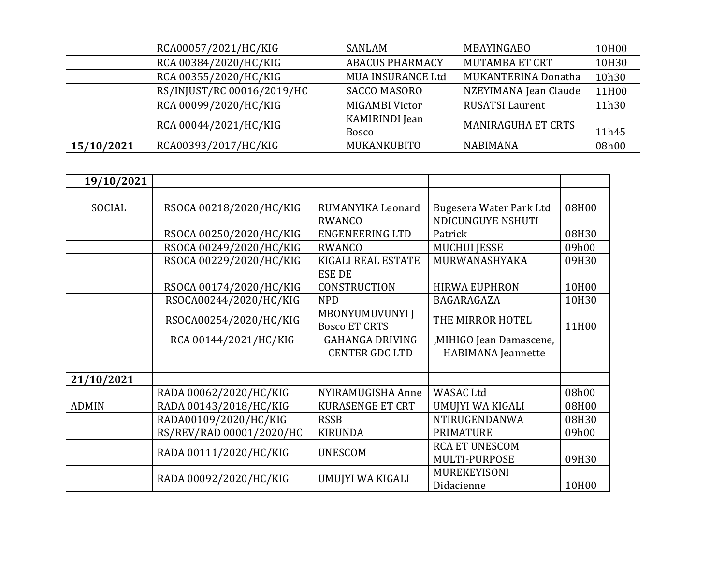|            | RCA00057/2021/HC/KIG       | <b>SANLAM</b>                  | MBAYINGABO                | 10H00 |
|------------|----------------------------|--------------------------------|---------------------------|-------|
|            | RCA 00384/2020/HC/KIG      | <b>ABACUS PHARMACY</b>         | <b>MUTAMBA ET CRT</b>     | 10H30 |
|            | RCA 00355/2020/HC/KIG      | <b>MUA INSURANCE Ltd</b>       | MUKANTERINA Donatha       | 10h30 |
|            | RS/INJUST/RC 00016/2019/HC | <b>SACCO MASORO</b>            | NZEYIMANA Jean Claude     | 11H00 |
|            | RCA 00099/2020/HC/KIG      | MIGAMBI Victor                 | <b>RUSATSI Laurent</b>    | 11h30 |
|            | RCA 00044/2021/HC/KIG      | KAMIRINDI Jean<br><b>Bosco</b> | <b>MANIRAGUHA ET CRTS</b> | 11h45 |
| 15/10/2021 | RCA00393/2017/HC/KIG       | MUKANKUBITO                    | <b>NABIMANA</b>           | 08h00 |

| 19/10/2021   |                          |                         |                           |       |
|--------------|--------------------------|-------------------------|---------------------------|-------|
|              |                          |                         |                           |       |
| SOCIAL       | RSOCA 00218/2020/HC/KIG  | RUMANYIKA Leonard       | Bugesera Water Park Ltd   | 08H00 |
|              |                          | <b>RWANCO</b>           | NDICUNGUYE NSHUTI         |       |
|              | RSOCA 00250/2020/HC/KIG  | <b>ENGENEERING LTD</b>  | Patrick                   | 08H30 |
|              | RSOCA 00249/2020/HC/KIG  | <b>RWANCO</b>           | <b>MUCHUI JESSE</b>       | 09h00 |
|              | RSOCA 00229/2020/HC/KIG  | KIGALI REAL ESTATE      | MURWANASHYAKA             | 09H30 |
|              |                          | <b>ESE DE</b>           |                           |       |
|              | RSOCA 00174/2020/HC/KIG  | <b>CONSTRUCTION</b>     | <b>HIRWA EUPHRON</b>      | 10H00 |
|              | RSOCA00244/2020/HC/KIG   | <b>NPD</b>              | BAGARAGAZA                | 10H30 |
|              | RSOCA00254/2020/HC/KIG   | MBONYUMUVUNYI J         | THE MIRROR HOTEL          |       |
|              |                          | <b>Bosco ET CRTS</b>    |                           | 11H00 |
|              | RCA 00144/2021/HC/KIG    | <b>GAHANGA DRIVING</b>  | ,MIHIGO Jean Damascene,   |       |
|              |                          | <b>CENTER GDC LTD</b>   | <b>HABIMANA</b> Jeannette |       |
|              |                          |                         |                           |       |
| 21/10/2021   |                          |                         |                           |       |
|              | RADA 00062/2020/HC/KIG   | NYIRAMUGISHA Anne       | <b>WASAC Ltd</b>          | 08h00 |
| <b>ADMIN</b> | RADA 00143/2018/HC/KIG   | <b>KURASENGE ET CRT</b> | UMUJYI WA KIGALI          | 08H00 |
|              | RADA00109/2020/HC/KIG    | <b>RSSB</b>             | NTIRUGENDANWA             | 08H30 |
|              | RS/REV/RAD 00001/2020/HC | <b>KIRUNDA</b>          | <b>PRIMATURE</b>          | 09h00 |
|              |                          |                         | <b>RCA ET UNESCOM</b>     |       |
|              | RADA 00111/2020/HC/KIG   | <b>UNESCOM</b>          | MULTI-PURPOSE             | 09H30 |
|              | RADA 00092/2020/HC/KIG   |                         | <b>MUREKEYISONI</b>       |       |
|              |                          | UMUJYI WA KIGALI        | Didacienne                | 10H00 |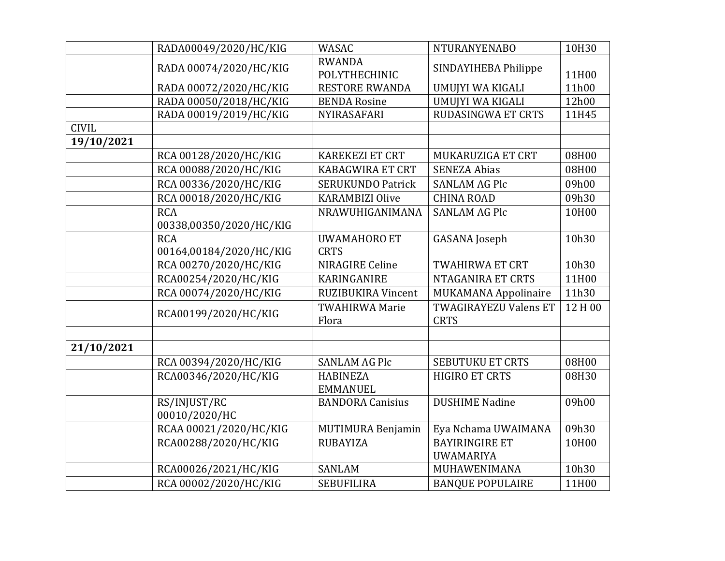|              | RADA00049/2020/HC/KIG                 | <b>WASAC</b>                       | <b>NTURANYENABO</b>                         | 10H30   |
|--------------|---------------------------------------|------------------------------------|---------------------------------------------|---------|
|              | RADA 00074/2020/HC/KIG                | <b>RWANDA</b><br>POLYTHECHINIC     | SINDAYIHEBA Philippe                        | 11H00   |
|              | RADA 00072/2020/HC/KIG                | <b>RESTORE RWANDA</b>              | UMUJYI WA KIGALI                            | 11h00   |
|              | RADA 00050/2018/HC/KIG                | <b>BENDA Rosine</b>                | UMUJYI WA KIGALI                            | 12h00   |
|              | RADA 00019/2019/HC/KIG                | NYIRASAFARI                        | <b>RUDASINGWA ET CRTS</b>                   | 11H45   |
| <b>CIVIL</b> |                                       |                                    |                                             |         |
| 19/10/2021   |                                       |                                    |                                             |         |
|              | RCA 00128/2020/HC/KIG                 | <b>KAREKEZI ET CRT</b>             | MUKARUZIGA ET CRT                           | 08H00   |
|              | RCA 00088/2020/HC/KIG                 | <b>KABAGWIRA ET CRT</b>            | <b>SENEZA Abias</b>                         | 08H00   |
|              | RCA 00336/2020/HC/KIG                 | <b>SERUKUNDO Patrick</b>           | <b>SANLAM AG Plc</b>                        | 09h00   |
|              | RCA 00018/2020/HC/KIG                 | <b>KARAMBIZI Olive</b>             | <b>CHINA ROAD</b>                           | 09h30   |
|              | <b>RCA</b><br>00338,00350/2020/HC/KIG | NRAWUHIGANIMANA                    | <b>SANLAM AG Plc</b>                        | 10H00   |
|              | <b>RCA</b><br>00164,00184/2020/HC/KIG | <b>UWAMAHORO ET</b><br><b>CRTS</b> | <b>GASANA</b> Joseph                        | 10h30   |
|              | RCA 00270/2020/HC/KIG                 | <b>NIRAGIRE Celine</b>             | <b>TWAHIRWA ET CRT</b>                      | 10h30   |
|              | RCA00254/2020/HC/KIG                  | KARINGANIRE                        | NTAGANIRA ET CRTS                           | 11H00   |
|              | RCA 00074/2020/HC/KIG                 | RUZIBUKIRA Vincent                 | <b>MUKAMANA Appolinaire</b>                 | 11h30   |
|              | RCA00199/2020/HC/KIG                  | <b>TWAHIRWA Marie</b><br>Flora     | <b>TWAGIRAYEZU Valens ET</b><br><b>CRTS</b> | 12 H 00 |
|              |                                       |                                    |                                             |         |
| 21/10/2021   |                                       |                                    |                                             |         |
|              | RCA 00394/2020/HC/KIG                 | <b>SANLAM AG Plc</b>               | <b>SEBUTUKU ET CRTS</b>                     | 08H00   |
|              | RCA00346/2020/HC/KIG                  | <b>HABINEZA</b><br><b>EMMANUEL</b> | <b>HIGIRO ET CRTS</b>                       | 08H30   |
|              | RS/INJUST/RC<br>00010/2020/HC         | <b>BANDORA Canisius</b>            | <b>DUSHIME Nadine</b>                       | 09h00   |
|              | RCAA 00021/2020/HC/KIG                | <b>MUTIMURA Benjamin</b>           | Eya Nchama UWAIMANA                         | 09h30   |
|              | RCA00288/2020/HC/KIG                  | <b>RUBAYIZA</b>                    | <b>BAYIRINGIRE ET</b><br><b>UWAMARIYA</b>   | 10H00   |
|              | RCA00026/2021/HC/KIG                  | <b>SANLAM</b>                      | MUHAWENIMANA                                | 10h30   |
|              | RCA 00002/2020/HC/KIG                 | <b>SEBUFILIRA</b>                  | <b>BANQUE POPULAIRE</b>                     | 11H00   |